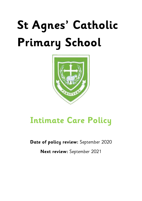# **St Agnes' Catholic Primary School**



# **Intimate Care Policy**

**Date of policy review:** September 2020

**Next review:** September 2021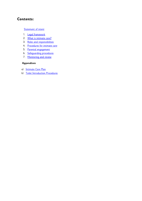# **Contents:**

#### **[Statement of intent](#page-2-0)**

- 1. [Legal framework](#page-3-0)
- 2. [What is intimate care?](#page-3-1)
- 3. [Roles and responsibilities](#page-3-2)
- 4. [Procedures for intimate care](#page-4-0)
- 5. [Parental engagement](#page-5-0)
- 6. [Safeguarding procedures](#page-6-0)
- 7. [Monitoring and review](#page-6-1)

### **Appendices**

- a) [Intimate Care Plan](#page-7-0)
- b) [Toilet Introduction Procedures](#page-9-0)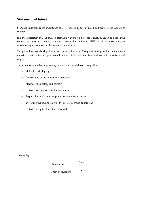## <span id="page-2-0"></span>**Statement of intent**

St Agnes understands the importance of its responsibility to safeguard and promote the welfare of children.

It is the expectation that all children attending Nursery will be toilet trained, although all pupils may require assistance with intimate care as a result due to having SEND. In all instances, effective safeguarding procedures are of paramount importance.

This policy has been developed in order to ensure that all staff responsible for providing intimate care undertake their duties in a professional manner at all times and treat children with sensitivity and respect.

The school is committed to providing intimate care for children in ways that:

- Maintain their dignity.
- Are sensitive to their needs and preferences.
- Maximise their safety and comfort.
- Protect them against intrusion and abuse.
- Respect the child's right to give or withdraw their consent.
- Encourage the child to care for themselves as much as they can.
- Protect the rights of all others involved.

Signed by:

| Headteacher        | Date: |  |
|--------------------|-------|--|
| Chair of governors | Date: |  |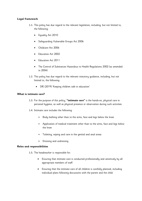#### <span id="page-3-0"></span>**Legal framework**

- 1.1. This policy has due regard to the relevant legislation, including, but not limited to, the following:
	- Equality Act 2010
	- Safeguarding Vulnerable Groups Act 2006
	- Childcare Act 2006
	- Education Act 2002
	- Education Act 2011
	- The Control of Substances Hazardous to Health Regulations 2002 (as amended in 2004)
- 1.2. This policy has due regard to the relevant statutory guidance, including, but not limited to, the following:
	- DfE (2019) 'Keeping children safe in education'

#### <span id="page-3-1"></span>**What is intimate care?**

- 1.3. For the purpose of this policy, **"intimate care"** is the hands-on, physical care in personal hygiene, as well as physical presence or observation during such activities.
- 1.4. Intimate care includes the following:
	- Body bathing other than to the arms, face and legs below the knee
	- Application of medical treatment other than to the arms, face and legs below the knee
	- Toileting, wiping and care in the genital and anal areas
	- Dressing and undressing

#### <span id="page-3-2"></span>**Roles and responsibilities**

- 1.5. The headteacher is responsible for:
	- Ensuring that intimate care is conducted professionally and sensitively by all appropriate members of staff.
	- Ensuring that the intimate care of all children is carefully planned, including individual plans following discussions with the parent and the child.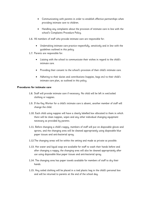- Communicating with parents in order to establish effective partnerships when providing intimate care to children.
- Handling any complaints about the provision of intimate care in line with the school's Complaints Procedure Policy.
- 1.6. All members of staff who provide intimate care are responsible for:
	- Undertaking intimate care practice respectfully, sensitively and in line with the guidelines outlined in this policy.
- 1.7. Parents are responsible for:
	- Liaising with the school to communicate their wishes in regard to the child's intimate care.
	- Providing their consent to the school's provision of their child's intimate care.
	- Adhering to their duties and contributions (nappies, bags etc) to their child's intimate care plan, as outlined in this policy.

#### <span id="page-4-0"></span>**Procedures for intimate care**

- 1.8. Staff will provide intimate care if necessary. No child will be left in wet/soiled clothing or nappies.
- 1.9. If the Key Worker for a child's intimate care is absent, another member of staff will change the child.
- 1.10. Each child using nappies will have a clearly labelled box allocated to them in which there will be clean nappies, wipes and any other individual changing equipment necessary as provided by parents.
- 1.11. Before changing a child's nappy, members of staff will put on disposable gloves and aprons, and the changing area will be cleaned appropriately using disposable blue paper tissues and anti-bacterial spray.
- 1.12.The changing areas will be within the setting and made as private as possible.
- 1.13. Hot water and liquid soap are available for staff to wash their hands before and after changing a nappy; the changing area will also be cleaned appropriately after use using disposable blue paper tissues and anti-bacterial spray.
- 1.14. The changing area has paper towels available for members of staff to dry their hands.
- 1.15. Any soiled clothing will be placed in a tied plastic bag in the child's personal box and will be returned to parents at the end of the school day.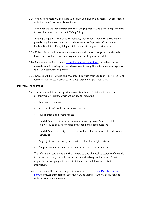- 1.16. Any used nappies will be placed in a tied plastic bag and disposed of in accordance with the school's Health & Safety Policy.
- 1.17. Any bodily fluids that transfer onto the changing area will be cleaned appropriately in accordance with the Health & Safety Policy.
- 1.18. If a pupil requires cream or other medicine, such as for a nappy rash, this will be provided by the parents and in accordance with the Supporting Children with Medical Conditions Policy full parental consent will be gained prior to this.
- 1.19. Older children and those who are more able will be encouraged to use the toilet facilities and will be reminded at regular intervals to go to the toilet.
- 1.20. Members of staff will use the [Toilet Introduction Procedures,](#page-9-0) as outlined in the appendices of this policy, to get children used to using the toilet and encourage them to be as independent as possible.
- 1.21. Children will be reminded and encouraged to wash their hands after using the toilet, following the correct procedures for using soap and drying their hands.

#### <span id="page-5-0"></span>**Parental engagement**

- 1.22. The school will liaise closely with parents to establish individual intimate care programmes if necessary which will set out the following:
	- What care is required
	- Number of staff needed to carry out the care
	- Any additional equipment needed
	- The child's preferred means of communication, e.g. visual/verbal, and the terminology to be used for parts of the body and bodily functions
	- The child's level of ability, i.e. what procedures of intimate care the child can do themselves
	- Any adjustments necessary in respect to cultural or religious views
	- The procedure for monitoring and reviewing the intimate care plan
- 1.23.The information concerning the child's intimate care plan will be stored confidentially in the medical room, and only the parents and the designated member of staff responsible for carrying out the child's intimate care will have access to the information..
- 1.24. The parents of the child are required to sign the *Intimate Care Parental Consent* [Form](file:///C:/Users/Anton.Venus/Downloads/Early_Years%20Intimate%20Care%20Policy_201601027.docx%23A) to provide their agreement to the plan; no intimate care will be carried out without prior parental consent.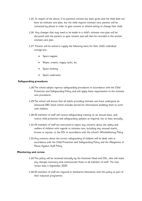- 1.25. In respect of the above, if no parental consent has been given and the child does not have an intimate care plan, but the child requires intimate care, parents will be contacted by phone in order to gain consent or attend setting to change their child.
- 1.26. Any changes that may need to be made to a child's intimate care plan will be discussed with the parents to gain consent and will then be recorded in the written intimate care plan.
- 1.27. Parents will be asked to supply the following items for their child's individual storage box:
	- Spare nappies
	- Wipes, creams, nappy sacks, etc.
	- Spare clothing
	- **•** Spare underwear

#### <span id="page-6-0"></span>**Safeguarding procedures**

- 1.28.The school adopts rigorous safeguarding procedures in accordance with the Child Protection and Safeguarding Policy and will apply these requirements to the intimate care procedures.
- 1.29.The school will ensure that all adults providing intimate care have undergone an enhanced DBS check (which includes barred list information) enabling them to work with children.
- 1.30.All members of staff will receive safeguarding training on an annual basis, and receive child protection and safeguarding updates as required, but at least annually.
- 1.31.All members of staff are instructed to report any concerns about the safety and welfare of children with regards to intimate care, including any unusual marks, bruises or injuries, to the DSL in accordance with the school's Whistleblowing Policy.
- 1.32.Any concerns about the correct safeguarding of children will be dealt with in accordance with the Child Protection and Safeguarding Policy and the Allegations of Abuse Against Staff Policy.

#### <span id="page-6-1"></span>**Monitoring and review**

- 1.33.This policy will be reviewed annually by the Assistant Head and DSL, who will make any changes necessary and communicate these to all members of staff. The next review date is September 2020
- 1.34.All members of staff are required to familiarise themselves with this policy as part of their induction programme.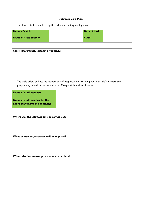#### **Intimate Care Plan**

<span id="page-7-0"></span>This form is to be completed by the EYFS lead and signed by parents.

| Name of child:         | Date of birth: |  |
|------------------------|----------------|--|
| Name of class teacher: | Class:         |  |

| Care requirements, including frequency: |  |
|-----------------------------------------|--|
|                                         |  |
|                                         |  |
|                                         |  |
|                                         |  |

The table below outlines the member of staff responsible for carrying out your child's intimate care programme, as well as the member of staff responsible in their absence:

| Name of staff member:          |  |
|--------------------------------|--|
| Name of staff member (in the   |  |
| above staff member's absence): |  |

**Where will the intimate care be carried out?**

**What equipment/resources will be required?**

**What infection control procedures are in place?**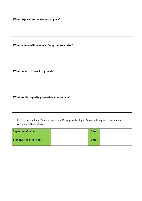**What disposal procedures are in place?**

**What actions will be taken if any concerns arise?**

**What do parents need to provide?**

**What are the reporting procedures for parents?**

I have read the Early Years Intimate Care Policy provided by St Agnes and I agree to the intimate care plan outlined above:

| Signature of parent:    | Date: |  |
|-------------------------|-------|--|
| Signature of EYFS lead: | Date: |  |